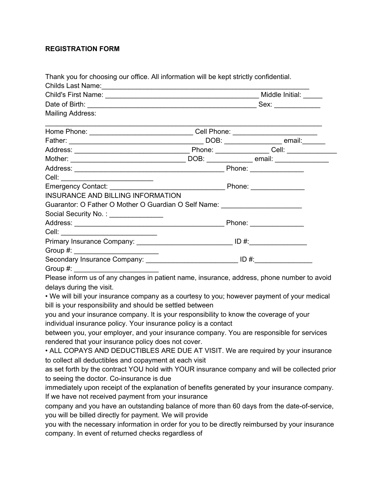## **REGISTRATION FORM**

| Thank you for choosing our office. All information will be kept strictly confidential.                         |                                                                                  |  |
|----------------------------------------------------------------------------------------------------------------|----------------------------------------------------------------------------------|--|
| Childs Last Name: Manual Annual Annual Annual Annual Annual Annual Annual Annual Annual Annual Annual Annual A |                                                                                  |  |
|                                                                                                                |                                                                                  |  |
| <b>Mailing Address:</b>                                                                                        |                                                                                  |  |
|                                                                                                                |                                                                                  |  |
|                                                                                                                | Home Phone: _________________________________Cell Phone: _______________________ |  |
|                                                                                                                |                                                                                  |  |
|                                                                                                                |                                                                                  |  |
|                                                                                                                |                                                                                  |  |
|                                                                                                                |                                                                                  |  |
| Cell: _____________________________                                                                            |                                                                                  |  |
|                                                                                                                |                                                                                  |  |
| INSURANCE AND BILLING INFORMATION                                                                              |                                                                                  |  |
| Guarantor: O Father O Mother O Guardian O Self Name: Name and Allen Controller Controller                      |                                                                                  |  |
| Social Security No.: ______________                                                                            |                                                                                  |  |
|                                                                                                                |                                                                                  |  |
| Cell: _______________________________                                                                          |                                                                                  |  |
| Primary Insurance Company: ________________________________ ID #:_______________                               |                                                                                  |  |
|                                                                                                                |                                                                                  |  |
|                                                                                                                | Secondary Insurance Company: _________________________________ ID #:____________ |  |
|                                                                                                                |                                                                                  |  |
| Please inform us of any changes in patient name, insurance, address, phone number to avoid                     |                                                                                  |  |
| delays during the visit.                                                                                       |                                                                                  |  |
| . We will bill your insurance company as a courtesy to you; however payment of your medical                    |                                                                                  |  |
| bill is your responsibility and should be settled between                                                      |                                                                                  |  |
| you and your insurance company. It is your responsibility to know the coverage of your                         |                                                                                  |  |
| individual insurance policy. Your insurance policy is a contact                                                |                                                                                  |  |
| between you, your employer, and your insurance company. You are responsible for services                       |                                                                                  |  |
| rendered that your insurance policy does not cover.                                                            |                                                                                  |  |
| • ALL COPAYS AND DEDUCTIBLES ARE DUE AT VISIT. We are required by your insurance                               |                                                                                  |  |
| to collect all deductibles and copayment at each visit                                                         |                                                                                  |  |
| as set forth by the contract YOU hold with YOUR insurance company and will be collected prior                  |                                                                                  |  |
| to seeing the doctor. Co-insurance is due                                                                      |                                                                                  |  |
| immediately upon receipt of the explanation of benefits generated by your insurance company.                   |                                                                                  |  |
| If we have not received payment from your insurance                                                            |                                                                                  |  |
| company and you have an outstanding balance of more than 60 days from the date-of-service,                     |                                                                                  |  |
| you will be billed directly for payment. We will provide                                                       |                                                                                  |  |
| you with the necessary information in order for you to be directly reimbursed by your insurance                |                                                                                  |  |
| company. In event of returned checks regardless of                                                             |                                                                                  |  |
|                                                                                                                |                                                                                  |  |
|                                                                                                                |                                                                                  |  |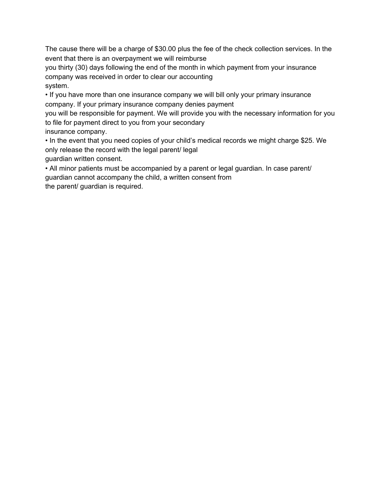The cause there will be a charge of \$30.00 plus the fee of the check collection services. In the event that there is an overpayment we will reimburse

you thirty (30) days following the end of the month in which payment from your insurance company was received in order to clear our accounting system.

• If you have more than one insurance company we will bill only your primary insurance company. If your primary insurance company denies payment

you will be responsible for payment. We will provide you with the necessary information for you to file for payment direct to you from your secondary

insurance company.

• In the event that you need copies of your child's medical records we might charge \$25. We only release the record with the legal parent/ legal guardian written consent.

• All minor patients must be accompanied by a parent or legal guardian. In case parent/ guardian cannot accompany the child, a written consent from

the parent/ guardian is required.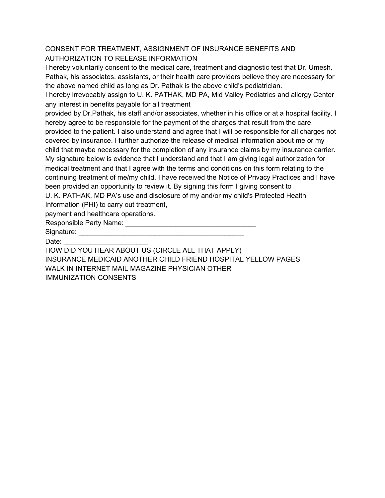## CONSENT FOR TREATMENT, ASSIGNMENT OF INSURANCE BENEFITS AND AUTHORIZATION TO RELEASE INFORMATION

I hereby voluntarily consent to the medical care, treatment and diagnostic test that Dr. Umesh. Pathak, his associates, assistants, or their health care providers believe they are necessary for the above named child as long as Dr. Pathak is the above child's pediatrician.

I hereby irrevocably assign to U. K. PATHAK, MD PA, Mid Valley Pediatrics and allergy Center any interest in benefits payable for all treatment

provided by Dr.Pathak, his staff and/or associates, whether in his office or at a hospital facility. I hereby agree to be responsible for the payment of the charges that result from the care provided to the patient. I also understand and agree that I will be responsible for all charges not covered by insurance. I further authorize the release of medical information about me or my child that maybe necessary for the completion of any insurance claims by my insurance carrier. My signature below is evidence that I understand and that I am giving legal authorization for medical treatment and that I agree with the terms and conditions on this form relating to the continuing treatment of me/my child. I have received the Notice of Privacy Practices and I have been provided an opportunity to review it. By signing this form I giving consent to U. K. PATHAK, MD PA's use and disclosure of my and/or my child's Protected Health

Information (PHI) to carry out treatment,

payment and healthcare operations.

Responsible Party Name: \_\_\_\_\_\_\_\_\_\_\_\_\_\_\_\_\_\_\_\_\_\_\_\_\_\_\_\_\_\_\_\_\_\_

Signature: **Example 20** 

Date:

HOW DID YOU HEAR ABOUT US (CIRCLE ALL THAT APPLY) INSURANCE MEDICAID ANOTHER CHILD FRIEND HOSPITAL YELLOW PAGES WALK IN INTERNET MAIL MAGAZINE PHYSICIAN OTHER IMMUNIZATION CONSENTS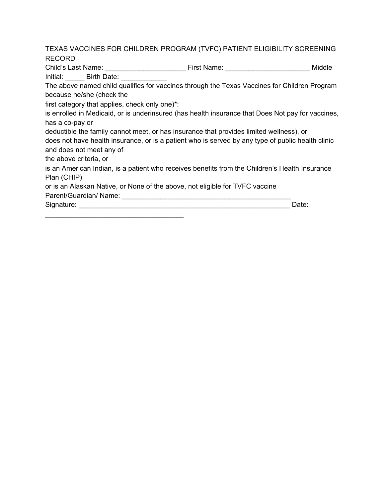TEXAS VACCINES FOR CHILDREN PROGRAM (TVFC) PATIENT ELIGIBILITY SCREENING RECORD

Child's Last Name: \_\_\_\_\_\_\_\_\_\_\_\_\_\_\_\_\_\_\_\_\_ First Name: \_\_\_\_\_\_\_\_\_\_\_\_\_\_\_\_\_\_\_\_\_\_ Middle Initial: **Birth Date:** 

The above named child qualifies for vaccines through the Texas Vaccines for Children Program because he/she (check the

first category that applies, check only one)\*:

 $\mathcal{L}_\mathcal{L}$  , which is a set of the set of the set of the set of the set of the set of the set of the set of the set of the set of the set of the set of the set of the set of the set of the set of the set of the set of

is enrolled in Medicaid, or is underinsured (has health insurance that Does Not pay for vaccines, has a co-pay or

deductible the family cannot meet, or has insurance that provides limited wellness), or does not have health insurance, or is a patient who is served by any type of public health clinic

and does not meet any of

the above criteria, or

is an American Indian, is a patient who receives benefits from the Children's Health Insurance Plan (CHIP)

or is an Alaskan Native, or None of the above, not eligible for TVFC vaccine

Parent/Guardian/ Name: \_\_\_\_\_\_\_\_\_\_\_\_\_\_\_\_\_\_\_\_\_\_\_\_\_\_\_\_\_\_\_\_\_\_\_\_\_\_\_\_\_\_\_\_

Signature: \_\_\_\_\_\_\_\_\_\_\_\_\_\_\_\_\_\_\_\_\_\_\_\_\_\_\_\_\_\_\_\_\_\_\_\_\_\_\_\_\_\_\_\_\_\_\_\_\_\_\_\_\_\_\_ Date: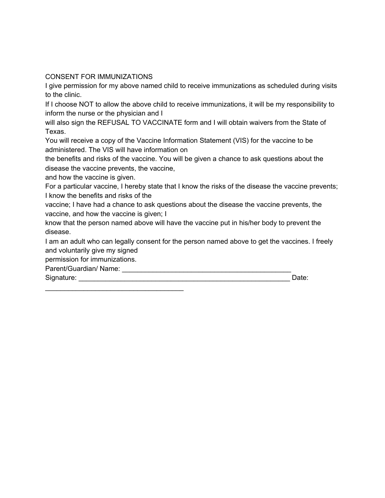CONSENT FOR IMMUNIZATIONS

I give permission for my above named child to receive immunizations as scheduled during visits to the clinic.

If I choose NOT to allow the above child to receive immunizations, it will be my responsibility to inform the nurse or the physician and I

will also sign the REFUSAL TO VACCINATE form and I will obtain waivers from the State of Texas.

You will receive a copy of the Vaccine Information Statement (VIS) for the vaccine to be administered. The VIS will have information on

the benefits and risks of the vaccine. You will be given a chance to ask questions about the disease the vaccine prevents, the vaccine,

and how the vaccine is given.

For a particular vaccine, I hereby state that I know the risks of the disease the vaccine prevents; I know the benefits and risks of the

vaccine; I have had a chance to ask questions about the disease the vaccine prevents, the vaccine, and how the vaccine is given; I

know that the person named above will have the vaccine put in his/her body to prevent the disease.

I am an adult who can legally consent for the person named above to get the vaccines. I freely and voluntarily give my signed

permission for immunizations.

 $\mathcal{L}_\mathcal{L}$  , which is a set of the set of the set of the set of the set of the set of the set of the set of the set of the set of the set of the set of the set of the set of the set of the set of the set of the set of

Parent/Guardian/ Name: \_\_\_\_\_\_\_\_\_\_\_\_\_\_\_\_\_\_\_\_\_\_\_\_\_\_\_\_\_\_\_\_\_\_\_\_\_\_\_\_\_\_\_\_

Signature: \_\_\_\_\_\_\_\_\_\_\_\_\_\_\_\_\_\_\_\_\_\_\_\_\_\_\_\_\_\_\_\_\_\_\_\_\_\_\_\_\_\_\_\_\_\_\_\_\_\_\_\_\_\_\_ Date: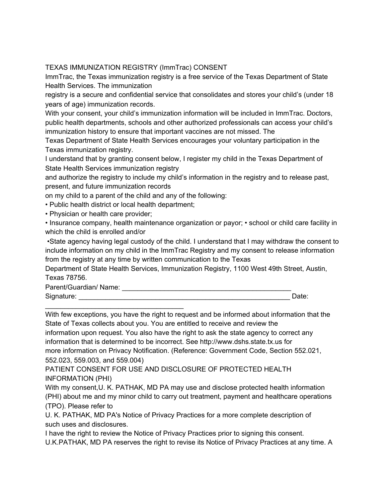## TEXAS IMMUNIZATION REGISTRY (ImmTrac) CONSENT

ImmTrac, the Texas immunization registry is a free service of the Texas Department of State Health Services. The immunization

registry is a secure and confidential service that consolidates and stores your child's (under 18 years of age) immunization records.

With your consent, your child's immunization information will be included in ImmTrac. Doctors, public health departments, schools and other authorized professionals can access your child's immunization history to ensure that important vaccines are not missed. The

Texas Department of State Health Services encourages your voluntary participation in the Texas immunization registry.

I understand that by granting consent below, I register my child in the Texas Department of State Health Services immunization registry

and authorize the registry to include my child's information in the registry and to release past, present, and future immunization records

on my child to a parent of the child and any of the following:

• Public health district or local health department;

\_\_\_\_\_\_\_\_\_\_\_\_\_\_\_\_\_\_\_\_\_\_\_\_\_\_\_\_\_\_\_\_\_\_\_\_

• Physician or health care provider;

• Insurance company, health maintenance organization or payor; • school or child care facility in which the child is enrolled and/or

•State agency having legal custody of the child. I understand that I may withdraw the consent to include information on my child in the ImmTrac Registry and my consent to release information from the registry at any time by written communication to the Texas

Department of State Health Services, Immunization Registry, 1100 West 49th Street, Austin, Texas 78756.

Parent/Guardian/ Name: \_\_\_\_\_\_\_\_\_\_\_\_\_\_\_\_\_\_\_\_\_\_\_\_\_\_\_\_\_\_\_\_\_\_\_\_\_\_\_\_\_\_\_\_

Signature: \_\_\_\_\_\_\_\_\_\_\_\_\_\_\_\_\_\_\_\_\_\_\_\_\_\_\_\_\_\_\_\_\_\_\_\_\_\_\_\_\_\_\_\_\_\_\_\_\_\_\_\_\_\_\_ Date:

With few exceptions, you have the right to request and be informed about information that the State of Texas collects about you. You are entitled to receive and review the information upon request. You also have the right to ask the state agency to correct any information that is determined to be incorrect. See http://www.dshs.state.tx.us for more information on Privacy Notification. (Reference: Government Code, Section 552.021, 552.023, 559.003, and 559.004)

PATIENT CONSENT FOR USE AND DISCLOSURE OF PROTECTED HEALTH INFORMATION (PHI)

With my consent,U. K. PATHAK, MD PA may use and disclose protected health information (PHI) about me and my minor child to carry out treatment, payment and healthcare operations (TPO). Please refer to

U. K. PATHAK, MD PA's Notice of Privacy Practices for a more complete description of such uses and disclosures.

I have the right to review the Notice of Privacy Practices prior to signing this consent. U.K.PATHAK, MD PA reserves the right to revise its Notice of Privacy Practices at any time. A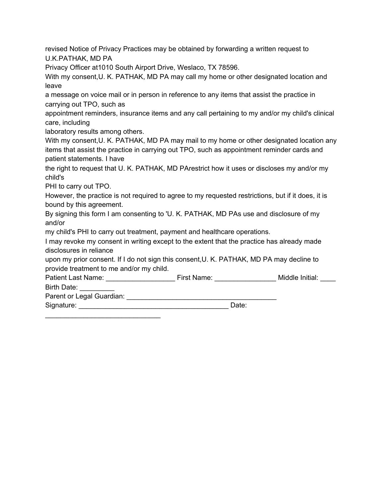revised Notice of Privacy Practices may be obtained by forwarding a written request to U.K.PATHAK, MD PA

Privacy Officer at1010 South Airport Drive, Weslaco, TX 78596.

With my consent, U. K. PATHAK, MD PA may call my home or other designated location and leave

a message on voice mail or in person in reference to any items that assist the practice in carrying out TPO, such as

appointment reminders, insurance items and any call pertaining to my and/or my child's clinical care, including

laboratory results among others.

With my consent, U. K. PATHAK, MD PA may mail to my home or other designated location any items that assist the practice in carrying out TPO, such as appointment reminder cards and patient statements. I have

the right to request that U. K. PATHAK, MD PArestrict how it uses or discloses my and/or my child's

PHI to carry out TPO.

However, the practice is not required to agree to my requested restrictions, but if it does, it is bound by this agreement.

By signing this form I am consenting to 'U. K. PATHAK, MD PAs use and disclosure of my and/or

my child's PHI to carry out treatment, payment and healthcare operations.

I may revoke my consent in writing except to the extent that the practice has already made disclosures in reliance

upon my prior consent. If I do not sign this consent,U. K. PATHAK, MD PA may decline to provide treatment to me and/or my child.

Patient Last Name: The Patient Last Name: The Patient Last Name: The Middle Initial: Birth Date:

Parent or Legal Guardian: \_\_\_\_\_\_\_\_\_\_\_\_\_\_\_\_\_\_\_\_\_\_\_\_\_\_\_\_\_\_\_\_\_\_\_\_\_\_\_

 $\mathcal{L}_\mathcal{L}$  , which is a set of the set of the set of the set of the set of the set of the set of the set of the set of the set of the set of the set of the set of the set of the set of the set of the set of the set of

Signature: \_\_\_\_\_\_\_\_\_\_\_\_\_\_\_\_\_\_\_\_\_\_\_\_\_\_\_\_\_\_\_\_\_\_\_\_\_\_\_ Date: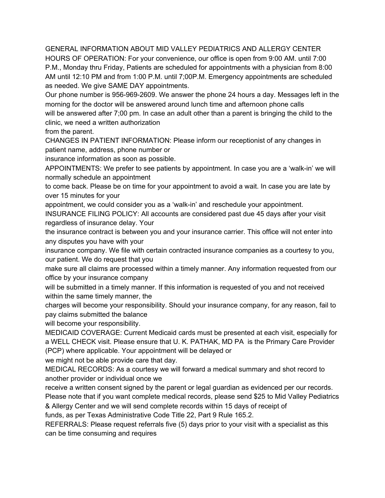GENERAL INFORMATION ABOUT MID VALLEY PEDIATRICS AND ALLERGY CENTER HOURS OF OPERATION: For your convenience, our office is open from 9:00 AM. until 7:00 P.M., Monday thru Friday, Patients are scheduled for appointments with a physician from 8:00 AM until 12:10 PM and from 1:00 P.M. until 7;00P.M. Emergency appointments are scheduled as needed. We give SAME DAY appointments.

Our phone number is 956-969-2609. We answer the phone 24 hours a day. Messages left in the morning for the doctor will be answered around lunch time and afternoon phone calls will be answered after 7;00 pm. In case an adult other than a parent is bringing the child to the clinic, we need a written authorization

from the parent.

CHANGES IN PATIENT INFORMATION: Please inform our receptionist of any changes in patient name, address, phone number or

insurance information as soon as possible.

APPOINTMENTS: We prefer to see patients by appointment. In case you are a 'walk-in' we will normally schedule an appointment

to come back. Please be on time for your appointment to avoid a wait. In case you are late by over 15 minutes for your

appointment, we could consider you as a 'walk-in' and reschedule your appointment.

INSURANCE FILING POLICY: All accounts are considered past due 45 days after your visit regardless of insurance delay. Your

the insurance contract is between you and your insurance carrier. This office will not enter into any disputes you have with your

insurance company. We file with certain contracted insurance companies as a courtesy to you, our patient. We do request that you

make sure all claims are processed within a timely manner. Any information requested from our office by your insurance company

will be submitted in a timely manner. If this information is requested of you and not received within the same timely manner, the

charges will become your responsibility. Should your insurance company, for any reason, fail to pay claims submitted the balance

will become your responsibility.

MEDICAID COVERAGE: Current Medicaid cards must be presented at each visit, especially for a WELL CHECK visit. Please ensure that U. K. PATHAK, MD PA is the Primary Care Provider (PCP) where applicable. Your appointment will be delayed or

we might not be able provide care that day.

MEDICAL RECORDS: As a courtesy we will forward a medical summary and shot record to another provider or individual once we

receive a written consent signed by the parent or legal guardian as evidenced per our records. Please note that if you want complete medical records, please send \$25 to Mid Valley Pediatrics

& Allergy Center and we will send complete records within 15 days of receipt of

funds, as per Texas Administrative Code Title 22, Part 9 Rule 165.2.

REFERRALS: Please request referrals five (5) days prior to your visit with a specialist as this can be time consuming and requires